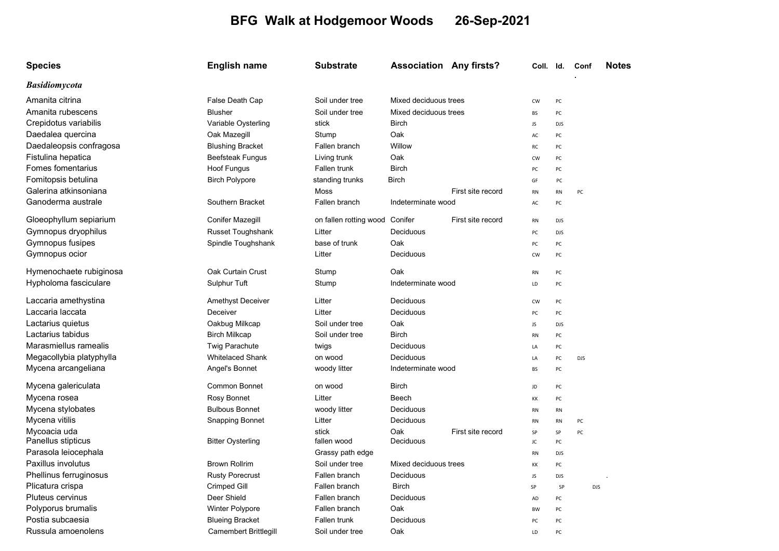## BFG Walk at Hodgemoor Woods 26-Sep-2021

| <b>Species</b>           | <b>English name</b>      | <b>Substrate</b>       | <b>Association Any firsts?</b> |                   | Coll. Id. |            | Conf       | <b>Notes</b> |
|--------------------------|--------------------------|------------------------|--------------------------------|-------------------|-----------|------------|------------|--------------|
| <b>Basidiomycota</b>     |                          |                        |                                |                   |           |            |            |              |
| Amanita citrina          | False Death Cap          | Soil under tree        | Mixed deciduous trees          |                   | <b>CW</b> | PC         |            |              |
| Amanita rubescens        | <b>Blusher</b>           | Soil under tree        | Mixed deciduous trees          |                   | <b>BS</b> | PC         |            |              |
| Crepidotus variabilis    | Variable Oysterling      | stick                  | <b>Birch</b>                   |                   | JS        | <b>DJS</b> |            |              |
| Daedalea quercina        | Oak Mazegill             | Stump                  | Oak                            |                   | AC        | PC         |            |              |
| Daedaleopsis confragosa  | <b>Blushing Bracket</b>  | Fallen branch          | Willow                         |                   | RC        | PC         |            |              |
| Fistulina hepatica       | <b>Beefsteak Fungus</b>  | Living trunk           | Oak                            |                   | CW        | PC         |            |              |
| Fomes fomentarius        | Hoof Fungus              | Fallen trunk           | <b>Birch</b>                   |                   | PC        | PC         |            |              |
| Fomitopsis betulina      | <b>Birch Polypore</b>    | standing trunks        | <b>Birch</b>                   |                   | GF        | PC         |            |              |
| Galerina atkinsoniana    |                          | Moss                   | First site record              |                   | <b>RN</b> | <b>RN</b>  | PC         |              |
| Ganoderma australe       | Southern Bracket         | Fallen branch          | Indeterminate wood             |                   | AC        | PC         |            |              |
| Gloeophyllum sepiarium   | Conifer Mazegill         | on fallen rotting wood | Conifer                        | First site record | <b>RN</b> | <b>DJS</b> |            |              |
| Gymnopus dryophilus      | Russet Toughshank        | Litter                 | Deciduous                      |                   | PC        | <b>DJS</b> |            |              |
| Gymnopus fusipes         | Spindle Toughshank       | base of trunk          | Oak                            |                   | PC        | PC         |            |              |
| Gymnopus ocior           |                          | Litter                 | Deciduous                      |                   | <b>CW</b> | PC         |            |              |
| Hymenochaete rubiginosa  | Oak Curtain Crust        | Stump                  | Oak                            |                   | <b>RN</b> | PC         |            |              |
| Hypholoma fasciculare    | Sulphur Tuft             | Stump                  | Indeterminate wood             |                   | LD        | PC         |            |              |
| Laccaria amethystina     | <b>Amethyst Deceiver</b> | Litter                 | Deciduous                      |                   | <b>CW</b> | PC         |            |              |
| Laccaria laccata         | Deceiver                 | Litter                 | Deciduous                      |                   | PC        | PC         |            |              |
| Lactarius quietus        | Oakbug Milkcap           | Soil under tree        | Oak                            |                   | JS        | <b>DJS</b> |            |              |
| Lactarius tabidus        | <b>Birch Milkcap</b>     | Soil under tree        | <b>Birch</b>                   |                   | <b>RN</b> | PC         |            |              |
| Marasmiellus ramealis    | <b>Twig Parachute</b>    | twigs                  | Deciduous                      |                   | LA        | PC         |            |              |
| Megacollybia platyphylla | <b>Whitelaced Shank</b>  | on wood                | Deciduous                      |                   | LA        | PC         | <b>DJS</b> |              |
| Mycena arcangeliana      | Angel's Bonnet           | woody litter           | Indeterminate wood             |                   | BS        | PC         |            |              |
| Mycena galericulata      | <b>Common Bonnet</b>     | on wood                | <b>Birch</b>                   |                   | JD        | PC         |            |              |
| Mycena rosea             | Rosy Bonnet              | Litter                 | Beech                          |                   | KK        | PC         |            |              |
| Mycena stylobates        | <b>Bulbous Bonnet</b>    | woody litter           | Deciduous                      |                   | <b>RN</b> | <b>RN</b>  |            |              |
| Mycena vitilis           | <b>Snapping Bonnet</b>   | Litter                 | Deciduous                      |                   | <b>RN</b> | <b>RN</b>  | PC         |              |
| Mycoacia uda             |                          | stick                  | Oak                            | First site record | SP        | SP         | PC         |              |
| Panellus stipticus       | <b>Bitter Oysterling</b> | fallen wood            | Deciduous                      |                   | JC        | PC         |            |              |
| Parasola leiocephala     |                          | Grassy path edge       |                                |                   | <b>RN</b> | <b>DJS</b> |            |              |
| Paxillus involutus       | <b>Brown Rollrim</b>     | Soil under tree        | Mixed deciduous trees          |                   | КK        | PC         |            |              |
| Phellinus ferruginosus   | <b>Rusty Porecrust</b>   | Fallen branch          | Deciduous                      |                   | JS        | <b>DJS</b> |            |              |
| Plicatura crispa         | Crimped Gill             | Fallen branch          | <b>Birch</b>                   |                   | SP        | SP         |            | <b>DJS</b>   |
| Pluteus cervinus         | Deer Shield              | Fallen branch          | Deciduous                      |                   | AD        | PC         |            |              |
| Polyporus brumalis       | Winter Polypore          | Fallen branch          | Oak                            |                   | BW        | PC         |            |              |
| Postia subcaesia         | <b>Blueing Bracket</b>   | Fallen trunk           | Deciduous                      |                   | PC        | PC         |            |              |
| Russula amoenolens       | Camembert Brittlegill    | Soil under tree        | Oak                            |                   | LD        | PC         |            |              |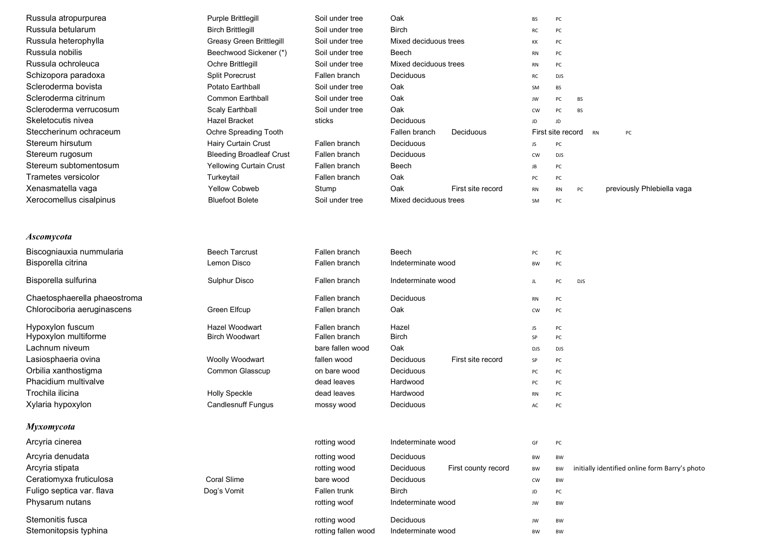| Russula atropurpurea         | Purple Brittlegill              | Soil under tree  | Oak                   |                     | BS         | PC                |            |                                                |
|------------------------------|---------------------------------|------------------|-----------------------|---------------------|------------|-------------------|------------|------------------------------------------------|
| Russula betularum            | <b>Birch Brittlegill</b>        | Soil under tree  | <b>Birch</b>          |                     | RC         | PC                |            |                                                |
| Russula heterophylla         | Greasy Green Brittlegill        | Soil under tree  | Mixed deciduous trees |                     | ΚK         | PC                |            |                                                |
| Russula nobilis              | Beechwood Sickener (*)          | Soil under tree  | Beech                 |                     | <b>RN</b>  | PC                |            |                                                |
| Russula ochroleuca           | Ochre Brittlegill               | Soil under tree  | Mixed deciduous trees |                     | <b>RN</b>  | PC                |            |                                                |
| Schizopora paradoxa          | Split Porecrust                 | Fallen branch    | Deciduous             |                     | RC         | <b>DJS</b>        |            |                                                |
| Scleroderma bovista          | Potato Earthball                | Soil under tree  | Oak                   |                     | SM         | <b>BS</b>         |            |                                                |
| Scleroderma citrinum         | <b>Common Earthball</b>         | Soil under tree  | Oak                   |                     | JW         | PC                | <b>BS</b>  |                                                |
| Scleroderma verrucosum       | <b>Scaly Earthball</b>          | Soil under tree  | Oak                   |                     | <b>CW</b>  | PC                | <b>BS</b>  |                                                |
| Skeletocutis nivea           | <b>Hazel Bracket</b>            | sticks           | Deciduous             |                     | JD         | JD                |            |                                                |
| Steccherinum ochraceum       | Ochre Spreading Tooth           |                  | Fallen branch         | Deciduous           |            | First site record |            | <b>RN</b><br>PC                                |
| Stereum hirsutum             | Hairy Curtain Crust             | Fallen branch    | Deciduous             |                     | JS         | PC                |            |                                                |
| Stereum rugosum              | <b>Bleeding Broadleaf Crust</b> | Fallen branch    | Deciduous             |                     | CW         | <b>DJS</b>        |            |                                                |
| Stereum subtomentosum        | Yellowing Curtain Crust         | Fallen branch    | Beech                 |                     | JB         | PC                |            |                                                |
| Trametes versicolor          | Turkeytail                      | Fallen branch    | Oak                   |                     | PC         | PC                |            |                                                |
| Xenasmatella vaga            | <b>Yellow Cobweb</b>            | Stump            | Oak                   | First site record   | RN         | <b>RN</b>         | PC         | previously Phlebiella vaga                     |
| Xerocomellus cisalpinus      | <b>Bluefoot Bolete</b>          | Soil under tree  | Mixed deciduous trees |                     | SM         | PC                |            |                                                |
|                              |                                 |                  |                       |                     |            |                   |            |                                                |
| <b>Ascomycota</b>            |                                 |                  |                       |                     |            |                   |            |                                                |
| Biscogniauxia nummularia     | <b>Beech Tarcrust</b>           | Fallen branch    | Beech                 |                     | PC         | PC                |            |                                                |
| Bisporella citrina           | Lemon Disco                     | Fallen branch    | Indeterminate wood    |                     | BW         | PC                |            |                                                |
| Bisporella sulfurina         | Sulphur Disco                   | Fallen branch    | Indeterminate wood    |                     | JL.        | PC                | <b>DJS</b> |                                                |
| Chaetosphaerella phaeostroma |                                 | Fallen branch    | Deciduous             |                     | RN         | PC                |            |                                                |
| Chlorociboria aeruginascens  | Green Elfcup                    | Fallen branch    | Oak                   |                     | <b>CW</b>  | PC                |            |                                                |
| Hypoxylon fuscum             | <b>Hazel Woodwart</b>           | Fallen branch    | Hazel                 |                     | JS         | PC                |            |                                                |
| Hypoxylon multiforme         | <b>Birch Woodwart</b>           | Fallen branch    | <b>Birch</b>          |                     | SP         | PC                |            |                                                |
| Lachnum niveum               |                                 | bare fallen wood | Oak                   |                     | <b>DJS</b> | <b>DJS</b>        |            |                                                |
| Lasiosphaeria ovina          | Woolly Woodwart                 | fallen wood      | Deciduous             | First site record   | SP         | PC                |            |                                                |
| Orbilia xanthostigma         | Common Glasscup                 | on bare wood     | Deciduous             |                     | PC         | PC                |            |                                                |
| Phacidium multivalve         |                                 | dead leaves      | Hardwood              |                     | PC         | PC                |            |                                                |
| Trochila ilicina             | <b>Holly Speckle</b>            | dead leaves      | Hardwood              |                     | RN         | PC                |            |                                                |
| Xylaria hypoxylon            | <b>Candlesnuff Fungus</b>       | mossy wood       | Deciduous             |                     | AC         | PC                |            |                                                |
| Myxomycota                   |                                 |                  |                       |                     |            |                   |            |                                                |
| Arcyria cinerea              |                                 | rotting wood     | Indeterminate wood    |                     | GF         | PC                |            |                                                |
| Arcyria denudata             |                                 | rotting wood     | Deciduous             |                     | BW         | BW                |            |                                                |
| Arcyria stipata              |                                 | rotting wood     | Deciduous             | First county record | BW         | BW                |            | initially identified online form Barry's photo |
| Ceratiomyxa fruticulosa      | Coral Slime                     | bare wood        | Deciduous             |                     | <b>CW</b>  | BW                |            |                                                |
| Fuligo septica var. flava    | Dog's Vomit                     | Fallen trunk     | <b>Birch</b>          |                     | JD         | PC                |            |                                                |
| Physarum nutans              |                                 | rotting woof     | Indeterminate wood    |                     | JW         | BW                |            |                                                |

Stemonitis fusca **rotting wood** Deciduous JW BW BW

Stemonitopsis typhina rotting fallen wood Indeterminate wood BW BW